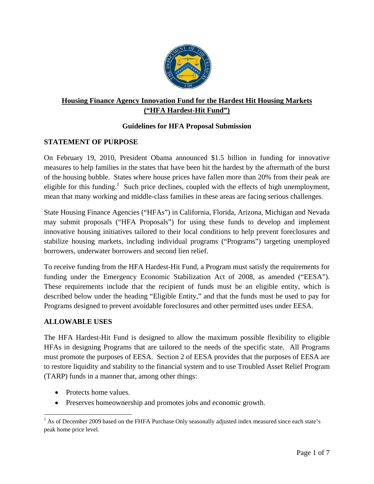

# **Housing Finance Agency Innovation Fund for the Hardest Hit Housing Markets ("HFA Hardest-Hit Fund")**

# **Guidelines for HFA Proposal Submission**

### **STATEMENT OF PURPOSE**

On February 19, 2010, President Obama announced \$1.5 billion in funding for innovative measures to help families in the states that have been hit the hardest by the aftermath of the burst of the housing bubble. States where house prices have fallen more than 20% from their peak are eligible for this funding.<sup>1</sup> Such price declines, coupled with the effects of high unemployment, mean that many working and middle-class families in these areas are facing serious challenges.

State Housing Finance Agencies ("HFAs") in California, Florida, Arizona, Michigan and Nevada may submit proposals ("HFA Proposals") for using these funds to develop and implement innovative housing initiatives tailored to their local conditions to help prevent foreclosures and stabilize housing markets, including individual programs ("Programs") targeting unemployed borrowers, underwater borrowers and second lien relief.

To receive funding from the HFA Hardest-Hit Fund, a Program must satisfy the requirements for funding under the Emergency Economic Stabilization Act of 2008, as amended ("EESA"). These requirements include that the recipient of funds must be an eligible entity, which is described below under the heading "Eligible Entity," and that the funds must be used to pay for Programs designed to prevent avoidable foreclosures and other permitted uses under EESA.

### **ALLOWABLE USES**

The HFA Hardest-Hit Fund is designed to allow the maximum possible flexibility to eligible HFAs in designing Programs that are tailored to the needs of the specific state. All Programs must promote the purposes of EESA. Section 2 of EESA provides that the purposes of EESA are to restore liquidity and stability to the financial system and to use Troubled Asset Relief Program (TARP) funds in a manner that, among other things:

Protects home values.

• Preserves homeownership and promotes jobs and economic growth.

<sup>&</sup>lt;sup>1</sup> As of December 2009 based on the FHFA Purchase Only seasonally adjusted index measured since each state's peak home price level.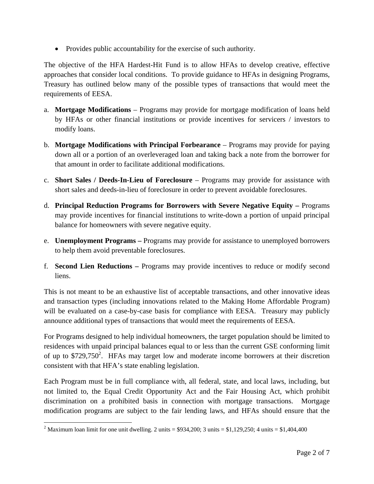• Provides public accountability for the exercise of such authority.

The objective of the HFA Hardest-Hit Fund is to allow HFAs to develop creative, effective approaches that consider local conditions. To provide guidance to HFAs in designing Programs, Treasury has outlined below many of the possible types of transactions that would meet the requirements of EESA.

- a. **Mortgage Modifications**  Programs may provide for mortgage modification of loans held by HFAs or other financial institutions or provide incentives for servicers / investors to modify loans.
- b. **Mortgage Modifications with Principal Forbearance**  Programs may provide for paying down all or a portion of an overleveraged loan and taking back a note from the borrower for that amount in order to facilitate additional modifications.
- c. **Short Sales / Deeds-In-Lieu of Foreclosure**  Programs may provide for assistance with short sales and deeds-in-lieu of foreclosure in order to prevent avoidable foreclosures.
- d. **Principal Reduction Programs for Borrowers with Severe Negative Equity** Programs may provide incentives for financial institutions to write-down a portion of unpaid principal balance for homeowners with severe negative equity.
- e. **Unemployment Programs** Programs may provide for assistance to unemployed borrowers to help them avoid preventable foreclosures.
- f. **Second Lien Reductions** Programs may provide incentives to reduce or modify second liens.

This is not meant to be an exhaustive list of acceptable transactions, and other innovative ideas and transaction types (including innovations related to the Making Home Affordable Program) will be evaluated on a case-by-case basis for compliance with EESA. Treasury may publicly announce additional types of transactions that would meet the requirements of EESA.

For Programs designed to help individual homeowners, the target population should be limited to residences with unpaid principal balances equal to or less than the current GSE conforming limit of up to  $$729,750^2$ . HFAs may target low and moderate income borrowers at their discretion consistent with that HFA's state enabling legislation.

Each Program must be in full compliance with, all federal, state, and local laws, including, but not limited to, the Equal Credit Opportunity Act and the Fair Housing Act, which prohibit discrimination on a prohibited basis in connection with mortgage transactions. Mortgage modification programs are subject to the fair lending laws, and HFAs should ensure that the

<sup>&</sup>lt;sup>2</sup> Maximum loan limit for one unit dwelling. 2 units = \$934,200; 3 units = \$1,129,250; 4 units = \$1,404,400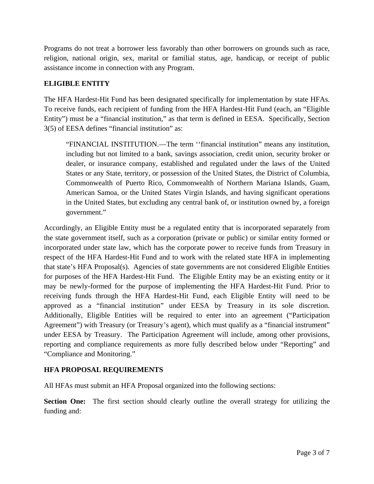Programs do not treat a borrower less favorably than other borrowers on grounds such as race, religion, national origin, sex, marital or familial status, age, handicap, or receipt of public assistance income in connection with any Program.

## **ELIGIBLE ENTITY**

The HFA Hardest-Hit Fund has been designated specifically for implementation by state HFAs. To receive funds, each recipient of funding from the HFA Hardest-Hit Fund (each, an "Eligible Entity") must be a "financial institution," as that term is defined in EESA. Specifically, Section 3(5) of EESA defines "financial institution" as:

"FINANCIAL INSTITUTION.—The term ''financial institution" means any institution, including but not limited to a bank, savings association, credit union, security broker or dealer, or insurance company, established and regulated under the laws of the United States or any State, territory, or possession of the United States, the District of Columbia, Commonwealth of Puerto Rico, Commonwealth of Northern Mariana Islands, Guam, American Samoa, or the United States Virgin Islands, and having significant operations in the United States, but excluding any central bank of, or institution owned by, a foreign government."

Accordingly, an Eligible Entity must be a regulated entity that is incorporated separately from the state government itself, such as a corporation (private or public) or similar entity formed or incorporated under state law, which has the corporate power to receive funds from Treasury in respect of the HFA Hardest-Hit Fund and to work with the related state HFA in implementing that state's HFA Proposal(s). Agencies of state governments are not considered Eligible Entities for purposes of the HFA Hardest-Hit Fund. The Eligible Entity may be an existing entity or it may be newly-formed for the purpose of implementing the HFA Hardest-Hit Fund. Prior to receiving funds through the HFA Hardest-Hit Fund, each Eligible Entity will need to be approved as a "financial institution" under EESA by Treasury in its sole discretion. Additionally, Eligible Entities will be required to enter into an agreement ("Participation Agreement") with Treasury (or Treasury's agent), which must qualify as a "financial instrument" under EESA by Treasury. The Participation Agreement will include, among other provisions, reporting and compliance requirements as more fully described below under "Reporting" and "Compliance and Monitoring."

### **HFA PROPOSAL REQUIREMENTS**

All HFAs must submit an HFA Proposal organized into the following sections:

**Section One:** The first section should clearly outline the overall strategy for utilizing the funding and: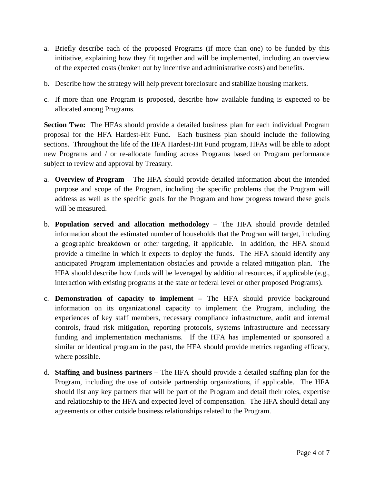- a. Briefly describe each of the proposed Programs (if more than one) to be funded by this initiative, explaining how they fit together and will be implemented, including an overview of the expected costs (broken out by incentive and administrative costs) and benefits.
- b. Describe how the strategy will help prevent foreclosure and stabilize housing markets.
- c. If more than one Program is proposed, describe how available funding is expected to be allocated among Programs.

**Section Two:** The HFAs should provide a detailed business plan for each individual Program proposal for the HFA Hardest-Hit Fund. Each business plan should include the following sections. Throughout the life of the HFA Hardest-Hit Fund program, HFAs will be able to adopt new Programs and / or re-allocate funding across Programs based on Program performance subject to review and approval by Treasury.

- a. **Overview of Program** The HFA should provide detailed information about the intended purpose and scope of the Program, including the specific problems that the Program will address as well as the specific goals for the Program and how progress toward these goals will be measured.
- b. **Population served and allocation methodology**  The HFA should provide detailed information about the estimated number of households that the Program will target, including a geographic breakdown or other targeting, if applicable. In addition, the HFA should provide a timeline in which it expects to deploy the funds. The HFA should identify any anticipated Program implementation obstacles and provide a related mitigation plan. The HFA should describe how funds will be leveraged by additional resources, if applicable (e.g., interaction with existing programs at the state or federal level or other proposed Programs).
- c. **Demonstration of capacity to implement** The HFA should provide background information on its organizational capacity to implement the Program, including the experiences of key staff members, necessary compliance infrastructure, audit and internal controls, fraud risk mitigation, reporting protocols, systems infrastructure and necessary funding and implementation mechanisms. If the HFA has implemented or sponsored a similar or identical program in the past, the HFA should provide metrics regarding efficacy, where possible.
- d. **Staffing and business partners** The HFA should provide a detailed staffing plan for the Program, including the use of outside partnership organizations, if applicable. The HFA should list any key partners that will be part of the Program and detail their roles, expertise and relationship to the HFA and expected level of compensation. The HFA should detail any agreements or other outside business relationships related to the Program.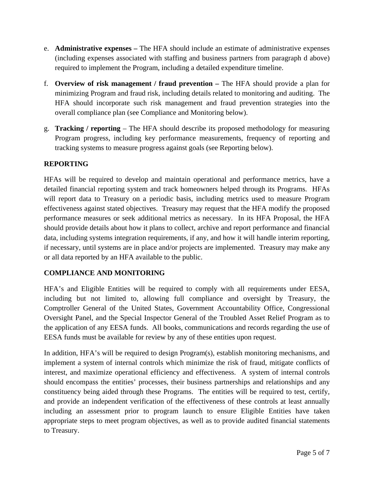- e. **Administrative expenses** The HFA should include an estimate of administrative expenses (including expenses associated with staffing and business partners from paragraph d above) required to implement the Program, including a detailed expenditure timeline.
- f. **Overview of risk management / fraud prevention** The HFA should provide a plan for minimizing Program and fraud risk, including details related to monitoring and auditing. The HFA should incorporate such risk management and fraud prevention strategies into the overall compliance plan (see Compliance and Monitoring below).
- g. **Tracking / reporting**  The HFA should describe its proposed methodology for measuring Program progress, including key performance measurements, frequency of reporting and tracking systems to measure progress against goals (see Reporting below).

# **REPORTING**

HFAs will be required to develop and maintain operational and performance metrics, have a detailed financial reporting system and track homeowners helped through its Programs. HFAs will report data to Treasury on a periodic basis, including metrics used to measure Program effectiveness against stated objectives. Treasury may request that the HFA modify the proposed performance measures or seek additional metrics as necessary. In its HFA Proposal, the HFA should provide details about how it plans to collect, archive and report performance and financial data, including systems integration requirements, if any, and how it will handle interim reporting, if necessary, until systems are in place and/or projects are implemented. Treasury may make any or all data reported by an HFA available to the public.

### **COMPLIANCE AND MONITORING**

HFA's and Eligible Entities will be required to comply with all requirements under EESA, including but not limited to, allowing full compliance and oversight by Treasury, the Comptroller General of the United States, Government Accountability Office, Congressional Oversight Panel, and the Special Inspector General of the Troubled Asset Relief Program as to the application of any EESA funds. All books, communications and records regarding the use of EESA funds must be available for review by any of these entities upon request.

In addition, HFA's will be required to design Program(s), establish monitoring mechanisms, and implement a system of internal controls which minimize the risk of fraud, mitigate conflicts of interest, and maximize operational efficiency and effectiveness. A system of internal controls should encompass the entities' processes, their business partnerships and relationships and any constituency being aided through these Programs. The entities will be required to test, certify, and provide an independent verification of the effectiveness of these controls at least annually including an assessment prior to program launch to ensure Eligible Entities have taken appropriate steps to meet program objectives, as well as to provide audited financial statements to Treasury.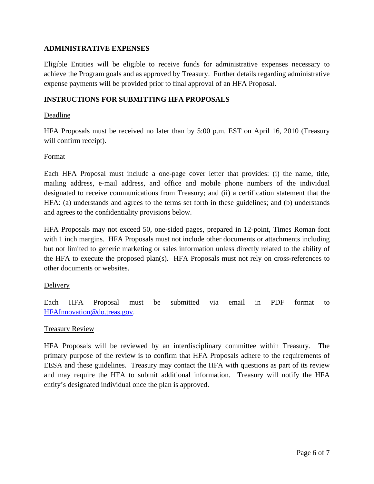#### **ADMINISTRATIVE EXPENSES**

Eligible Entities will be eligible to receive funds for administrative expenses necessary to achieve the Program goals and as approved by Treasury. Further details regarding administrative expense payments will be provided prior to final approval of an HFA Proposal.

#### **INSTRUCTIONS FOR SUBMITTING HFA PROPOSALS**

#### Deadline

HFA Proposals must be received no later than by 5:00 p.m. EST on April 16, 2010 (Treasury will confirm receipt).

#### Format

Each HFA Proposal must include a one-page cover letter that provides: (i) the name, title, mailing address, e-mail address, and office and mobile phone numbers of the individual designated to receive communications from Treasury; and (ii) a certification statement that the HFA: (a) understands and agrees to the terms set forth in these guidelines; and (b) understands and agrees to the confidentiality provisions below.

HFA Proposals may not exceed 50, one-sided pages, prepared in 12-point, Times Roman font with 1 inch margins. HFA Proposals must not include other documents or attachments including but not limited to generic marketing or sales information unless directly related to the ability of the HFA to execute the proposed plan(s). HFA Proposals must not rely on cross-references to other documents or websites.

#### Delivery

Each HFA Proposal must be submitted via email in PDF format to HFAInnovation@do.treas.gov.

#### Treasury Review

HFA Proposals will be reviewed by an interdisciplinary committee within Treasury. The primary purpose of the review is to confirm that HFA Proposals adhere to the requirements of EESA and these guidelines. Treasury may contact the HFA with questions as part of its review and may require the HFA to submit additional information. Treasury will notify the HFA entity's designated individual once the plan is approved.